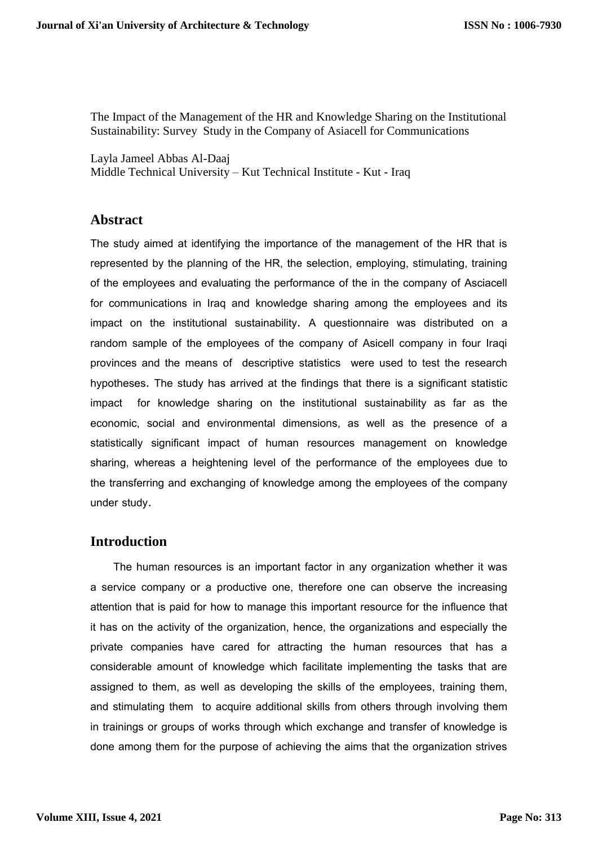The Impact of the Management of the HR and Knowledge Sharing on the Institutional Sustainability: Survey Study in the Company of Asiacell for Communications

Layla Jameel Abbas Al-Daaj Middle Technical University – Kut Technical Institute - Kut - Iraq

#### **Abstract**

The study aimed at identifying the importance of the management of the HR that is represented by the planning of the HR, the selection, employing, stimulating, training of the employees and evaluating the performance of the in the company of Asciacell for communications in Iraq and knowledge sharing among the employees and its impact on the institutional sustainability. A questionnaire was distributed on a random sample of the employees of the company of Asicell company in four Iraqi provinces and the means of descriptive statistics were used to test the research hypotheses. The study has arrived at the findings that there is a significant statistic impact for knowledge sharing on the institutional sustainability as far as the economic, social and environmental dimensions, as well as the presence of a statistically significant impact of human resources management on knowledge sharing, whereas a heightening level of the performance of the employees due to the transferring and exchanging of knowledge among the employees of the company under study.

### **Introduction**

 The human resources is an important factor in any organization whether it was a service company or a productive one, therefore one can observe the increasing attention that is paid for how to manage this important resource for the influence that it has on the activity of the organization, hence, the organizations and especially the private companies have cared for attracting the human resources that has a considerable amount of knowledge which facilitate implementing the tasks that are assigned to them, as well as developing the skills of the employees, training them, and stimulating them to acquire additional skills from others through involving them in trainings or groups of works through which exchange and transfer of knowledge is done among them for the purpose of achieving the aims that the organization strives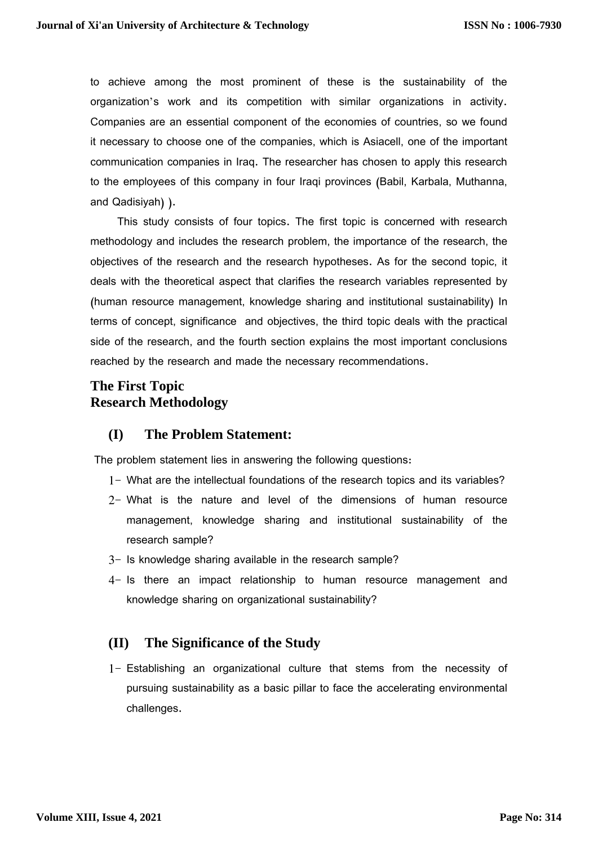to achieve among the most prominent of these is the sustainability of the organization's work and its competition with similar organizations in activity. Companies are an essential component of the economies of countries, so we found it necessary to choose one of the companies, which is Asiacell, one of the important communication companies in Iraq. The researcher has chosen to apply this research to the employees of this company in four Iraqi provinces (Babil, Karbala, Muthanna, and Qadisiyah) ).

 This study consists of four topics. The first topic is concerned with research methodology and includes the research problem, the importance of the research, the objectives of the research and the research hypotheses. As for the second topic, it deals with the theoretical aspect that clarifies the research variables represented by (human resource management, knowledge sharing and institutional sustainability) In terms of concept, significance and objectives, the third topic deals with the practical side of the research, and the fourth section explains the most important conclusions reached by the research and made the necessary recommendations.

# **The First Topic Research Methodology**

## **(I) The Problem Statement:**

The problem statement lies in answering the following questions:

- 1- What are the intellectual foundations of the research topics and its variables?
- 2- What is the nature and level of the dimensions of human resource management, knowledge sharing and institutional sustainability of the research sample?
- 3- Is knowledge sharing available in the research sample?
- 4- Is there an impact relationship to human resource management and knowledge sharing on organizational sustainability?

## **(II) The Significance of the Study**

1- Establishing an organizational culture that stems from the necessity of pursuing sustainability as a basic pillar to face the accelerating environmental challenges.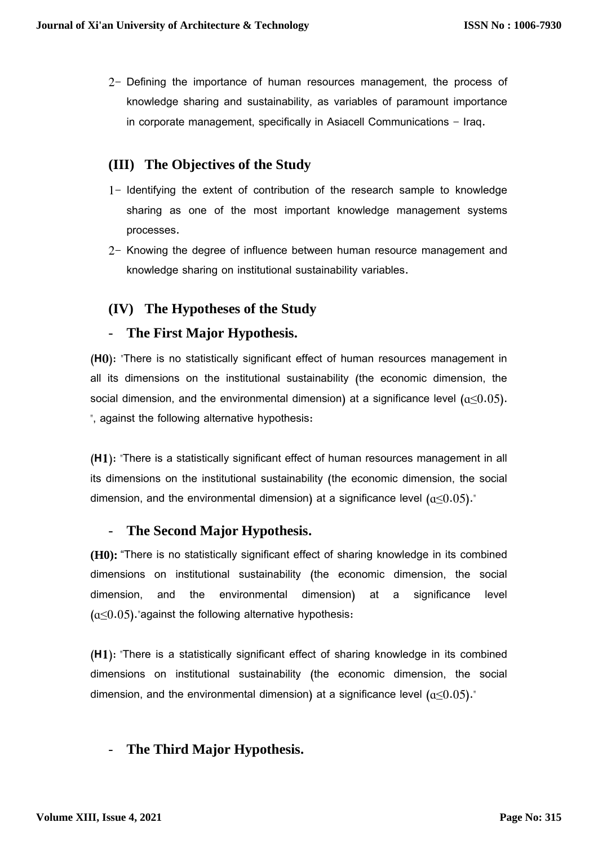2- Defining the importance of human resources management, the process of knowledge sharing and sustainability, as variables of paramount importance in corporate management, specifically in Asiacell Communications - Iraq.

# **(III) The Objectives of the Study**

- 1- Identifying the extent of contribution of the research sample to knowledge sharing as one of the most important knowledge management systems processes.
- 2- Knowing the degree of influence between human resource management and knowledge sharing on institutional sustainability variables.

# **(IV) The Hypotheses of the Study**

### - **The First Major Hypothesis.**

**(H0):** "There is no statistically significant effect of human resources management in all its dimensions on the institutional sustainability (the economic dimension, the social dimension, and the environmental dimension) at a significance level  $(a\leq 0.05)$ . ", against the following alternative hypothesis:

**(H1):** "There is a statistically significant effect of human resources management in all its dimensions on the institutional sustainability (the economic dimension, the social dimension, and the environmental dimension) at a significance level  $(a\leq 0.05)$ ."

### - **The Second Major Hypothesis.**

**(H0):** "There is no statistically significant effect of sharing knowledge in its combined dimensions on institutional sustainability (the economic dimension, the social dimension, and the environmental dimension) at a significance level  $(a<0.05)$ . against the following alternative hypothesis:

**(H1):** "There is a statistically significant effect of sharing knowledge in its combined dimensions on institutional sustainability (the economic dimension, the social dimension, and the environmental dimension) at a significance level  $(a\leq 0.05)$ ."

# - **The Third Major Hypothesis.**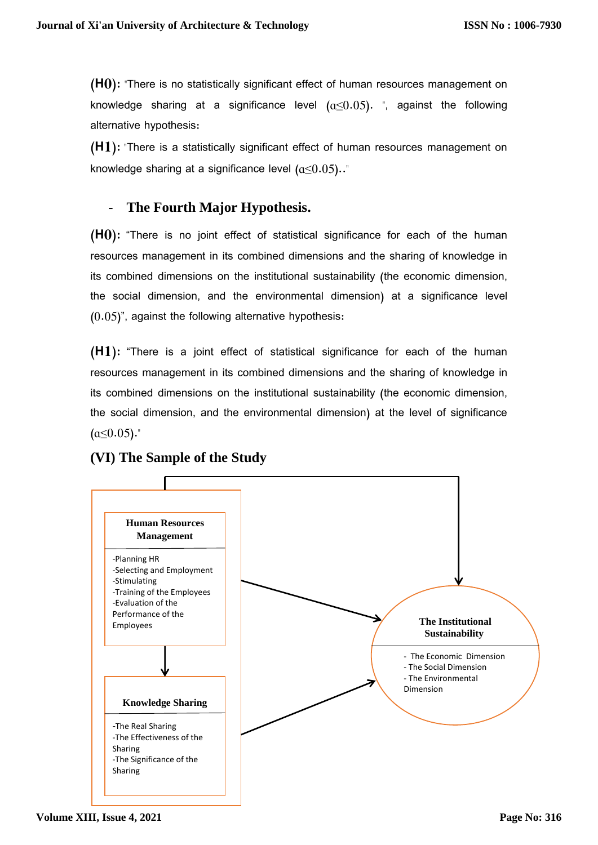**(H0):** "There is no statistically significant effect of human resources management on knowledge sharing at a significance level  $(a<0.05)$ . ", against the following alternative hypothesis:

**(H1):** "There is a statistically significant effect of human resources management on knowledge sharing at a significance level  $(a\leq 0.05)$ .."

## The Fourth Major Hypothesis.

**(H0):** "There is no joint effect of statistical significance for each of the human resources management in its combined dimensions and the sharing of knowledge in its combined dimensions on the institutional sustainability (the economic dimension, the social dimension, and the environmental dimension) at a significance level (0.05)", against the following alternative hypothesis:

**(H1):** "There is a joint effect of statistical significance for each of the human resources management in its combined dimensions and the sharing of knowledge in its combined dimensions on the institutional sustainability (the economic dimension, the social dimension, and the environmental dimension) at the level of significance (ɑ≤0.05)**."**



# **(VI) The Sample of the Study**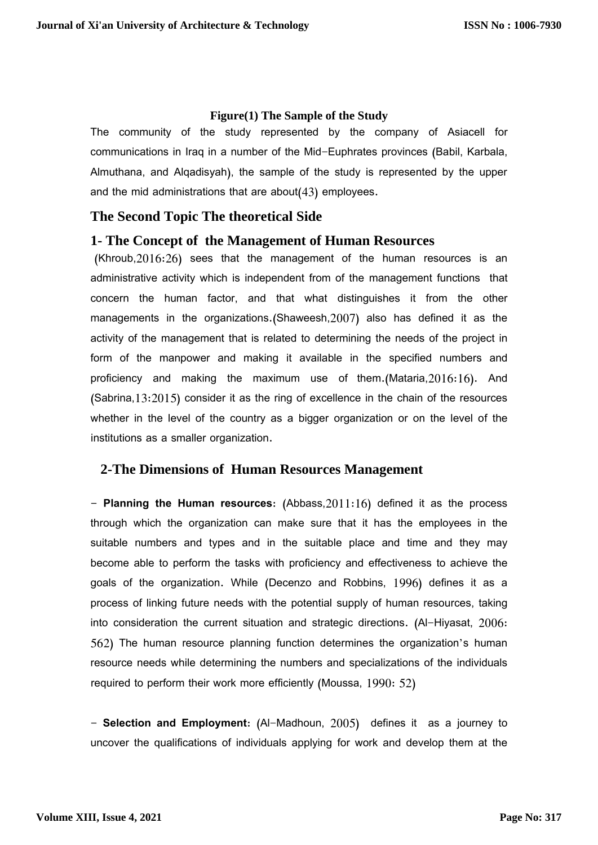#### **Figure(1) The Sample of the Study**

The community of the study represented by the company of Asiacell for communications in Iraq in a number of the Mid-Euphrates provinces (Babil, Karbala, Almuthana, and Alqadisyah), the sample of the study is represented by the upper and the mid administrations that are about(43) employees.

### **The Second Topic The theoretical Side**

### **1- The Concept of the Management of Human Resources**

(Khroub,2016:26) sees that the management of the human resources is an administrative activity which is independent from of the management functions that concern the human factor, and that what distinguishes it from the other managements in the organizations.(Shaweesh,2007) also has defined it as the activity of the management that is related to determining the needs of the project in form of the manpower and making it available in the specified numbers and proficiency and making the maximum use of them.(Mataria,2016:16). And (Sabrina,13:2015) consider it as the ring of excellence in the chain of the resources whether in the level of the country as a bigger organization or on the level of the institutions as a smaller organization.

## **2-The Dimensions of Human Resources Management**

**- Planning the Human resources**: (Abbass,2011:16) defined it as the process through which the organization can make sure that it has the employees in the suitable numbers and types and in the suitable place and time and they may become able to perform the tasks with proficiency and effectiveness to achieve the goals of the organization. While (Decenzo and Robbins, 1996) defines it as a process of linking future needs with the potential supply of human resources, taking into consideration the current situation and strategic directions. (Al-Hiyasat, 2006: 562) The human resource planning function determines the organization's human resource needs while determining the numbers and specializations of the individuals required to perform their work more efficiently (Moussa, 1990: 52)

**- Selection and Employment**: (Al-Madhoun, 2005) defines it as a journey to uncover the qualifications of individuals applying for work and develop them at the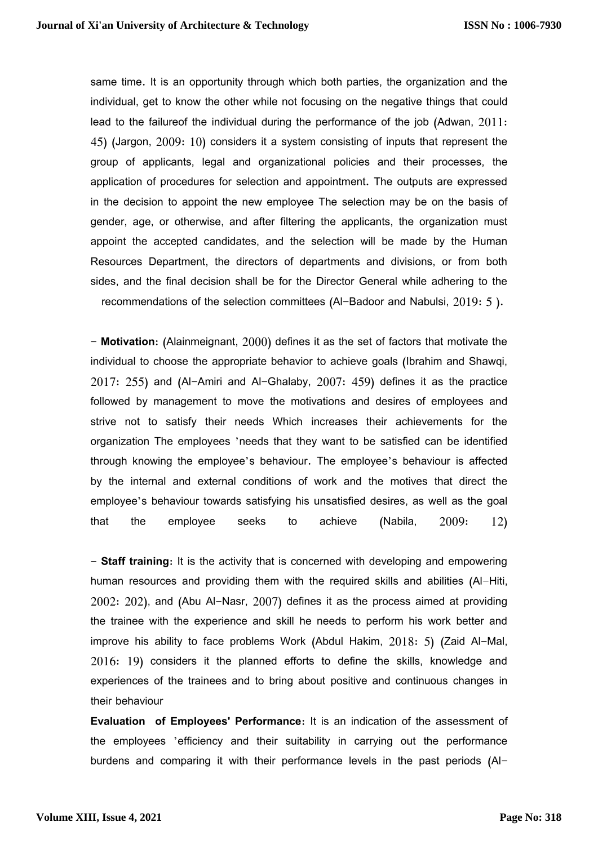same time. It is an opportunity through which both parties, the organization and the individual, get to know the other while not focusing on the negative things that could lead to the failureof the individual during the performance of the job (Adwan, 2011: 45) (Jargon, 2009: 10) considers it a system consisting of inputs that represent the group of applicants, legal and organizational policies and their processes, the application of procedures for selection and appointment. The outputs are expressed in the decision to appoint the new employee The selection may be on the basis of gender, age, or otherwise, and after filtering the applicants, the organization must appoint the accepted candidates, and the selection will be made by the Human Resources Department, the directors of departments and divisions, or from both sides, and the final decision shall be for the Director General while adhering to the recommendations of the selection committees (Al-Badoor and Nabulsi, 2019: 5 ).

- **Motivation**: (Alainmeignant, 2000) defines it as the set of factors that motivate the individual to choose the appropriate behavior to achieve goals (Ibrahim and Shawqi, 2017: 255) and (Al-Amiri and Al-Ghalaby, 2007: 459) defines it as the practice followed by management to move the motivations and desires of employees and strive not to satisfy their needs Which increases their achievements for the organization The employees 'needs that they want to be satisfied can be identified through knowing the employee's behaviour. The employee's behaviour is affected by the internal and external conditions of work and the motives that direct the employee's behaviour towards satisfying his unsatisfied desires, as well as the goal that the employee seeks to achieve (Nabila,  $2009: \quad 12)$ 

- **Staff training**: It is the activity that is concerned with developing and empowering human resources and providing them with the required skills and abilities (Al-Hiti, 2002: 202), and (Abu Al-Nasr, 2007) defines it as the process aimed at providing the trainee with the experience and skill he needs to perform his work better and improve his ability to face problems Work (Abdul Hakim, 2018: 5) (Zaid Al-Mal, 2016: 19) considers it the planned efforts to define the skills, knowledge and experiences of the trainees and to bring about positive and continuous changes in their behaviour

**Evaluation of Employees' Performance**: It is an indication of the assessment of the employees 'efficiency and their suitability in carrying out the performance burdens and comparing it with their performance levels in the past periods (Al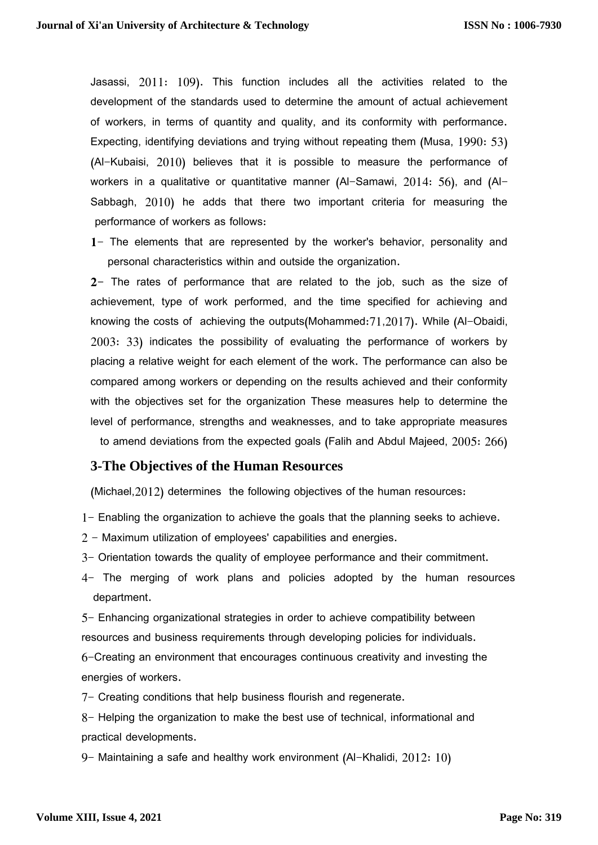Jasassi, 2011: 109). This function includes all the activities related to the development of the standards used to determine the amount of actual achievement of workers, in terms of quantity and quality, and its conformity with performance. Expecting, identifying deviations and trying without repeating them (Musa, 1990: 53) (Al-Kubaisi, 2010) believes that it is possible to measure the performance of workers in a qualitative or quantitative manner (Al-Samawi, 2014: 56), and (Al-Sabbagh, 2010) he adds that there two important criteria for measuring the performance of workers as follows:

**1**- The elements that are represented by the worker's behavior, personality and personal characteristics within and outside the organization.

**2-** The rates of performance that are related to the job, such as the size of achievement, type of work performed, and the time specified for achieving and knowing the costs of achieving the outputs(Mohammed:71,2017). While (Al-Obaidi, 2003: 33) indicates the possibility of evaluating the performance of workers by placing a relative weight for each element of the work. The performance can also be compared among workers or depending on the results achieved and their conformity with the objectives set for the organization These measures help to determine the level of performance, strengths and weaknesses, and to take appropriate measures to amend deviations from the expected goals (Falih and Abdul Majeed, 2005: 266)

### **3-The Objectives of the Human Resources**

(Michael,2012) determines the following objectives of the human resources:

- 1- Enabling the organization to achieve the goals that the planning seeks to achieve.
- 2 Maximum utilization of employees' capabilities and energies.
- 3- Orientation towards the quality of employee performance and their commitment.
- 4- The merging of work plans and policies adopted by the human resources department.

5- Enhancing organizational strategies in order to achieve compatibility between resources and business requirements through developing policies for individuals.

6-Creating an environment that encourages continuous creativity and investing the energies of workers.

7- Creating conditions that help business flourish and regenerate.

8- Helping the organization to make the best use of technical, informational and practical developments.

9- Maintaining a safe and healthy work environment (Al-Khalidi, 2012: 10)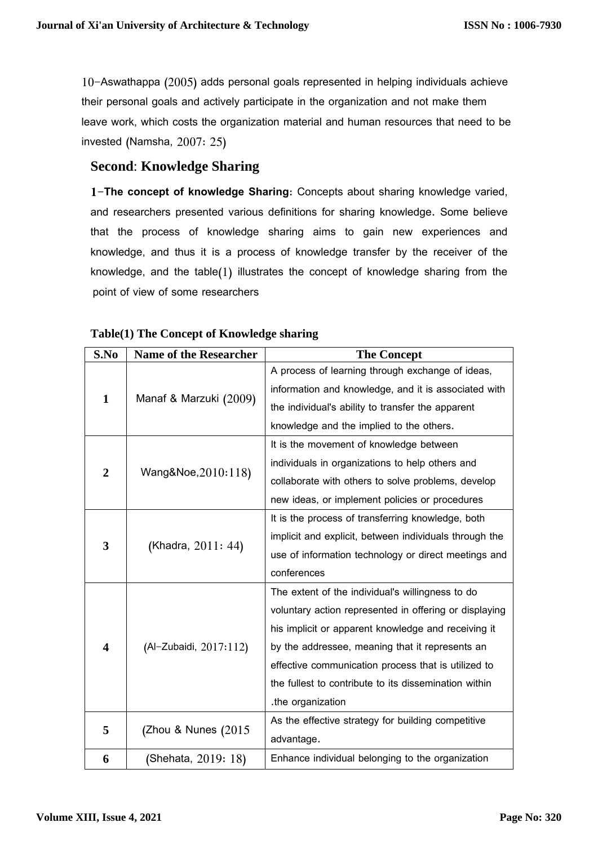10-Aswathappa (2005) adds personal goals represented in helping individuals achieve their personal goals and actively participate in the organization and not make them leave work, which costs the organization material and human resources that need to be invested (Namsha, 2007: 25)

## **Second**: **Knowledge Sharing**

**1-The concept of knowledge Sharing**: Concepts about sharing knowledge varied, and researchers presented various definitions for sharing knowledge. Some believe that the process of knowledge sharing aims to gain new experiences and knowledge, and thus it is a process of knowledge transfer by the receiver of the knowledge, and the table(1) illustrates the concept of knowledge sharing from the point of view of some researchers

| S.No           | <b>Name of the Researcher</b> | <b>The Concept</b>                                     |
|----------------|-------------------------------|--------------------------------------------------------|
|                |                               | A process of learning through exchange of ideas,       |
| $\mathbf{1}$   |                               | information and knowledge, and it is associated with   |
|                | Manaf & Marzuki (2009)        | the individual's ability to transfer the apparent      |
|                |                               | knowledge and the implied to the others.               |
|                |                               | It is the movement of knowledge between                |
|                | Wang&Noe, 2010:118)           | individuals in organizations to help others and        |
| $\overline{2}$ |                               | collaborate with others to solve problems, develop     |
|                |                               | new ideas, or implement policies or procedures         |
|                |                               | It is the process of transferring knowledge, both      |
|                |                               | implicit and explicit, between individuals through the |
| 3              | (Khadra, 2011: 44)            | use of information technology or direct meetings and   |
|                |                               | conferences                                            |
|                |                               | The extent of the individual's willingness to do       |
|                |                               | voluntary action represented in offering or displaying |
|                |                               | his implicit or apparent knowledge and receiving it    |
| 4              | (Al-Zubaidi, 2017:112)        | by the addressee, meaning that it represents an        |
|                |                               | effective communication process that is utilized to    |
|                |                               | the fullest to contribute to its dissemination within  |
|                |                               | .the organization                                      |
| 5              | (Zhou & Nunes (2015           | As the effective strategy for building competitive     |
|                |                               | advantage.                                             |
| 6              | (Shehata, 2019: 18)           | Enhance individual belonging to the organization       |

#### **Table(1) The Concept of Knowledge sharing**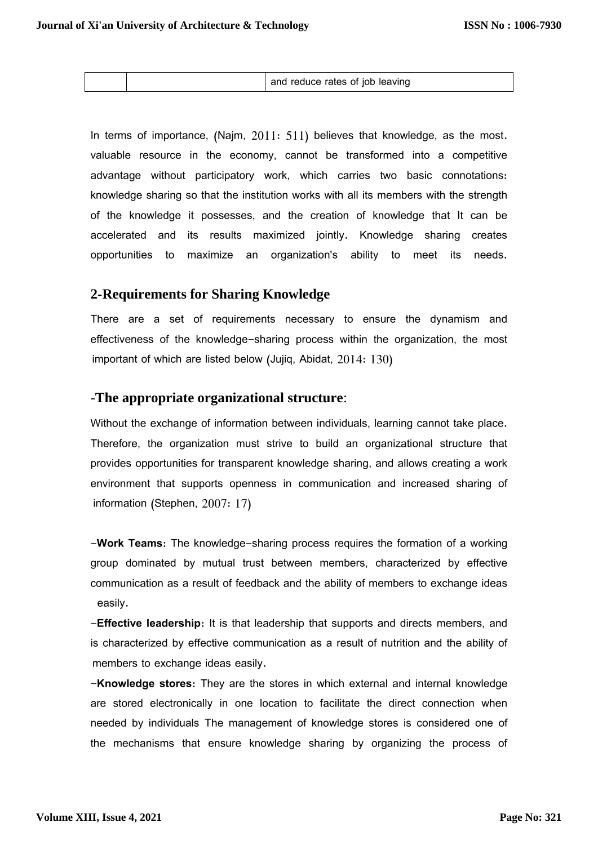|--|

In terms of importance, (Najm, 2011: 511) believes that knowledge, as the most. valuable resource in the economy, cannot be transformed into a competitive advantage without participatory work, which carries two basic connotations: knowledge sharing so that the institution works with all its members with the strength of the knowledge it possesses, and the creation of knowledge that It can be accelerated and its results maximized jointly. Knowledge sharing creates opportunities to maximize an organization's ability to meet its needs.

### **2-Requirements for Sharing Knowledge**

There are a set of requirements necessary to ensure the dynamism and effectiveness of the knowledge-sharing process within the organization, the most important of which are listed below (Jujiq, Abidat, 2014: 130)

#### -**The appropriate organizational structure**:

Without the exchange of information between individuals, learning cannot take place. Therefore, the organization must strive to build an organizational structure that provides opportunities for transparent knowledge sharing, and allows creating a work environment that supports openness in communication and increased sharing of information (Stephen, 2007: 17)

-**Work Teams**: The knowledge-sharing process requires the formation of a working group dominated by mutual trust between members, characterized by effective communication as a result of feedback and the ability of members to exchange ideas easily.

-**Effective leadership**: It is that leadership that supports and directs members, and is characterized by effective communication as a result of nutrition and the ability of members to exchange ideas easily.

-**Knowledge stores**: They are the stores in which external and internal knowledge are stored electronically in one location to facilitate the direct connection when needed by individuals The management of knowledge stores is considered one of the mechanisms that ensure knowledge sharing by organizing the process of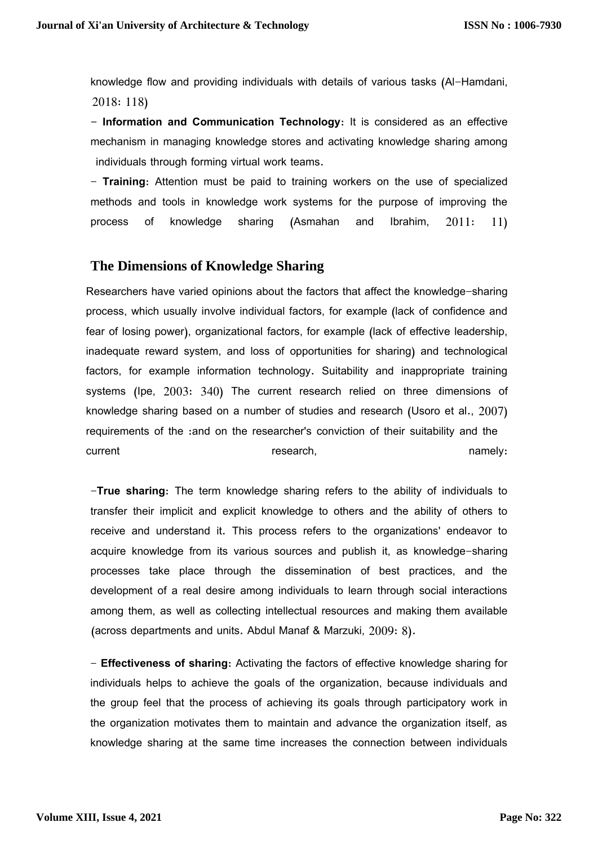knowledge flow and providing individuals with details of various tasks (Al-Hamdani, 2018: 118)

**- Information and Communication Technology**: It is considered as an effective mechanism in managing knowledge stores and activating knowledge sharing among individuals through forming virtual work teams.

- **Training**: Attention must be paid to training workers on the use of specialized methods and tools in knowledge work systems for the purpose of improving the process of knowledge sharing (Asmahan and Ibrahim, 2011: 11)

## **The Dimensions of Knowledge Sharing**

Researchers have varied opinions about the factors that affect the knowledge-sharing process, which usually involve individual factors, for example (lack of confidence and fear of losing power), organizational factors, for example (lack of effective leadership, inadequate reward system, and loss of opportunities for sharing) and technological factors, for example information technology. Suitability and inappropriate training systems (Ipe, 2003: 340) The current research relied on three dimensions of knowledge sharing based on a number of studies and research (Usoro et al., 2007) requirements of the :and on the researcher's conviction of their suitability and the current research, namely: current research,

-**True sharing**: The term knowledge sharing refers to the ability of individuals to transfer their implicit and explicit knowledge to others and the ability of others to receive and understand it. This process refers to the organizations' endeavor to acquire knowledge from its various sources and publish it, as knowledge-sharing processes take place through the dissemination of best practices, and the development of a real desire among individuals to learn through social interactions among them, as well as collecting intellectual resources and making them available (across departments and units. Abdul Manaf & Marzuki,  $2009: 8$ ).

- **Effectiveness of sharing**: Activating the factors of effective knowledge sharing for individuals helps to achieve the goals of the organization, because individuals and the group feel that the process of achieving its goals through participatory work in the organization motivates them to maintain and advance the organization itself, as knowledge sharing at the same time increases the connection between individuals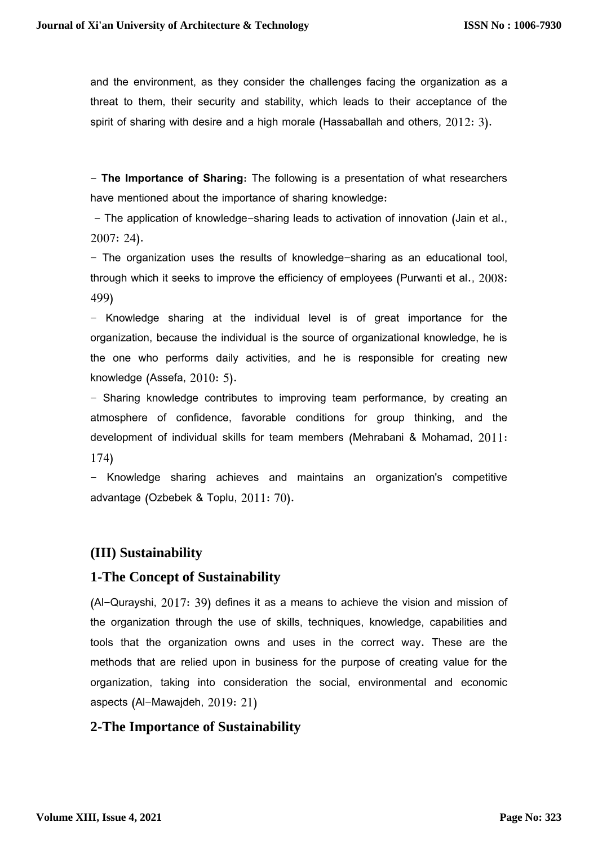and the environment, as they consider the challenges facing the organization as a threat to them, their security and stability, which leads to their acceptance of the spirit of sharing with desire and a high morale (Hassaballah and others, 2012: 3).

- **The Importance of Sharing**: The following is a presentation of what researchers have mentioned about the importance of sharing knowledge:

- The application of knowledge-sharing leads to activation of innovation (Jain et al., 2007: 24).

- The organization uses the results of knowledge-sharing as an educational tool, through which it seeks to improve the efficiency of employees (Purwanti et al., 2008: 499)

- Knowledge sharing at the individual level is of great importance for the organization, because the individual is the source of organizational knowledge, he is the one who performs daily activities, and he is responsible for creating new knowledge (Assefa, 2010: 5).

- Sharing knowledge contributes to improving team performance, by creating an atmosphere of confidence, favorable conditions for group thinking, and the development of individual skills for team members (Mehrabani & Mohamad, 2011: 174)

- Knowledge sharing achieves and maintains an organization's competitive advantage (Ozbebek & Toplu, 2011: 70).

## **(III) Sustainability**

## **1-The Concept of Sustainability**

(Al-Qurayshi, 2017: 39) defines it as a means to achieve the vision and mission of the organization through the use of skills, techniques, knowledge, capabilities and tools that the organization owns and uses in the correct way. These are the methods that are relied upon in business for the purpose of creating value for the organization, taking into consideration the social, environmental and economic aspects (Al-Mawajdeh, 2019: 21)

## **2-The Importance of Sustainability**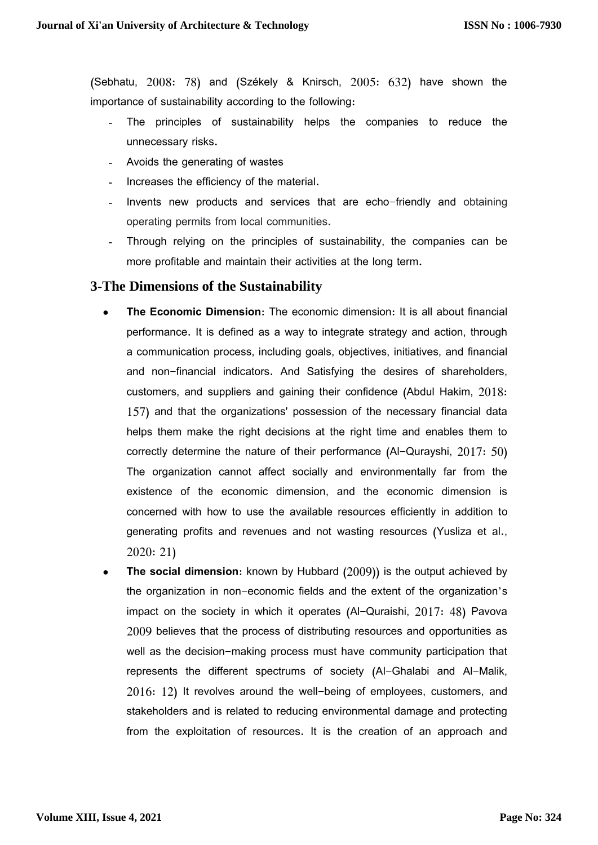(Sebhatu, 2008: 78) and (Székely & Knirsch, 2005: 632) have shown the importance of sustainability according to the following:

- The principles of sustainability helps the companies to reduce the unnecessary risks.
- Avoids the generating of wastes
- Increases the efficiency of the material.
- Invents new products and services that are echo-friendly and obtaining operating permits from local communities.
- Through relying on the principles of sustainability, the companies can be more profitable and maintain their activities at the long term.

### **3-The Dimensions of the Sustainability**

- **The Economic Dimension**: The economic dimension: It is all about financial performance. It is defined as a way to integrate strategy and action, through a communication process, including goals, objectives, initiatives, and financial and non-financial indicators. And Satisfying the desires of shareholders, customers, and suppliers and gaining their confidence (Abdul Hakim, 2018: 157) and that the organizations' possession of the necessary financial data helps them make the right decisions at the right time and enables them to correctly determine the nature of their performance (Al-Qurayshi, 2017: 50) The organization cannot affect socially and environmentally far from the existence of the economic dimension, and the economic dimension is concerned with how to use the available resources efficiently in addition to generating profits and revenues and not wasting resources (Yusliza et al., 2020: 21)
- **The social dimension**: known by Hubbard (2009)) is the output achieved by the organization in non-economic fields and the extent of the organization's impact on the society in which it operates (Al-Quraishi, 2017: 48) Pavova 2009 believes that the process of distributing resources and opportunities as well as the decision-making process must have community participation that represents the different spectrums of society (Al-Ghalabi and Al-Malik, 2016: 12) It revolves around the well-being of employees, customers, and stakeholders and is related to reducing environmental damage and protecting from the exploitation of resources. It is the creation of an approach and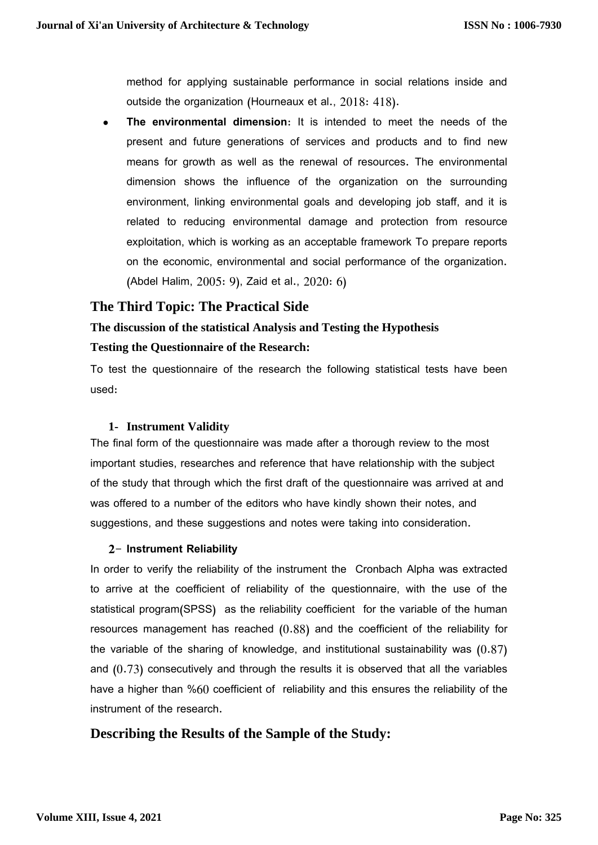method for applying sustainable performance in social relations inside and outside the organization (Hourneaux et al., 2018: 418).

 **The environmental dimension**: It is intended to meet the needs of the present and future generations of services and products and to find new means for growth as well as the renewal of resources. The environmental dimension shows the influence of the organization on the surrounding environment, linking environmental goals and developing job staff, and it is related to reducing environmental damage and protection from resource exploitation, which is working as an acceptable framework To prepare reports on the economic, environmental and social performance of the organization. (Abdel Halim, 2005: 9), Zaid et al., 2020: 6)

## **The Third Topic: The Practical Side**

# **The discussion of the statistical Analysis and Testing the Hypothesis Testing the Questionnaire of the Research:**

To test the questionnaire of the research the following statistical tests have been used:

#### **1- Instrument Validity**

The final form of the questionnaire was made after a thorough review to the most important studies, researches and reference that have relationship with the subject of the study that through which the first draft of the questionnaire was arrived at and was offered to a number of the editors who have kindly shown their notes, and suggestions, and these suggestions and notes were taking into consideration.

#### **2- Instrument Reliability**

In order to verify the reliability of the instrument the Cronbach Alpha was extracted to arrive at the coefficient of reliability of the questionnaire, with the use of the statistical program(SPSS) as the reliability coefficient for the variable of the human resources management has reached (0.88) and the coefficient of the reliability for the variable of the sharing of knowledge, and institutional sustainability was (0.87) and (0.73) consecutively and through the results it is observed that all the variables have a higher than %60 coefficient of reliability and this ensures the reliability of the instrument of the research.

## **Describing the Results of the Sample of the Study:**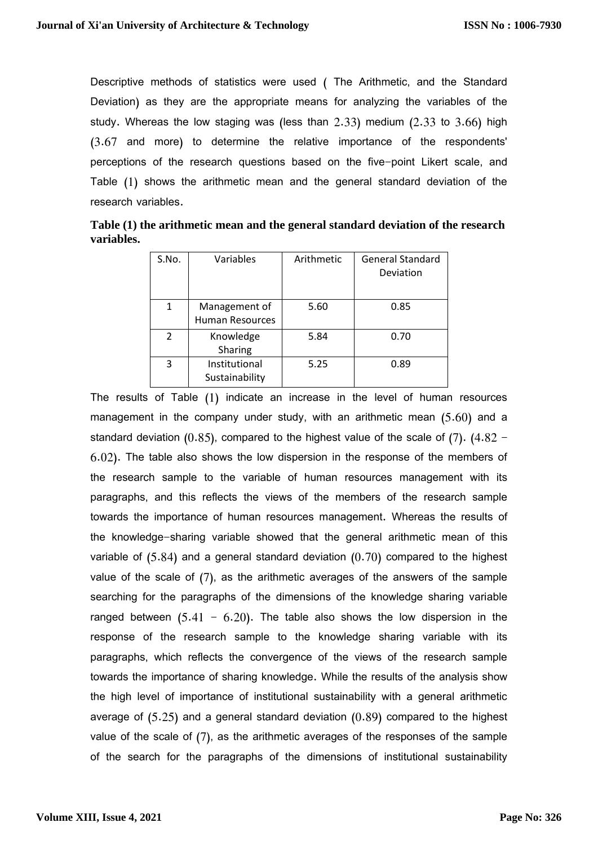Descriptive methods of statistics were used ( The Arithmetic, and the Standard Deviation) as they are the appropriate means for analyzing the variables of the study. Whereas the low staging was (less than 2.33) medium (2.33 to 3.66) high (3.67 and more) to determine the relative importance of the respondents' perceptions of the research questions based on the five-point Likert scale, and Table (1) shows the arithmetic mean and the general standard deviation of the research variables.

| Table (1) the arithmetic mean and the general standard deviation of the research |  |
|----------------------------------------------------------------------------------|--|
| variables.                                                                       |  |

| S.No.          | Variables                               | Arithmetic | <b>General Standard</b><br>Deviation |
|----------------|-----------------------------------------|------------|--------------------------------------|
| 1              | Management of<br><b>Human Resources</b> | 5.60       | 0.85                                 |
| $\mathfrak{p}$ | Knowledge<br>Sharing                    | 5.84       | 0.70                                 |
| 3              | Institutional<br>Sustainability         | 5.25       | 0.89                                 |

The results of Table (1) indicate an increase in the level of human resources management in the company under study, with an arithmetic mean (5.60) and a standard deviation (0.85), compared to the highest value of the scale of (7). (4.82 – 6.02). The table also shows the low dispersion in the response of the members of the research sample to the variable of human resources management with its paragraphs, and this reflects the views of the members of the research sample towards the importance of human resources management. Whereas the results of the knowledge-sharing variable showed that the general arithmetic mean of this variable of (5.84) and a general standard deviation (0.70) compared to the highest value of the scale of (7), as the arithmetic averages of the answers of the sample searching for the paragraphs of the dimensions of the knowledge sharing variable ranged between  $(5.41 - 6.20)$ . The table also shows the low dispersion in the response of the research sample to the knowledge sharing variable with its paragraphs, which reflects the convergence of the views of the research sample towards the importance of sharing knowledge. While the results of the analysis show the high level of importance of institutional sustainability with a general arithmetic average of (5.25) and a general standard deviation (0.89) compared to the highest value of the scale of (7), as the arithmetic averages of the responses of the sample of the search for the paragraphs of the dimensions of institutional sustainability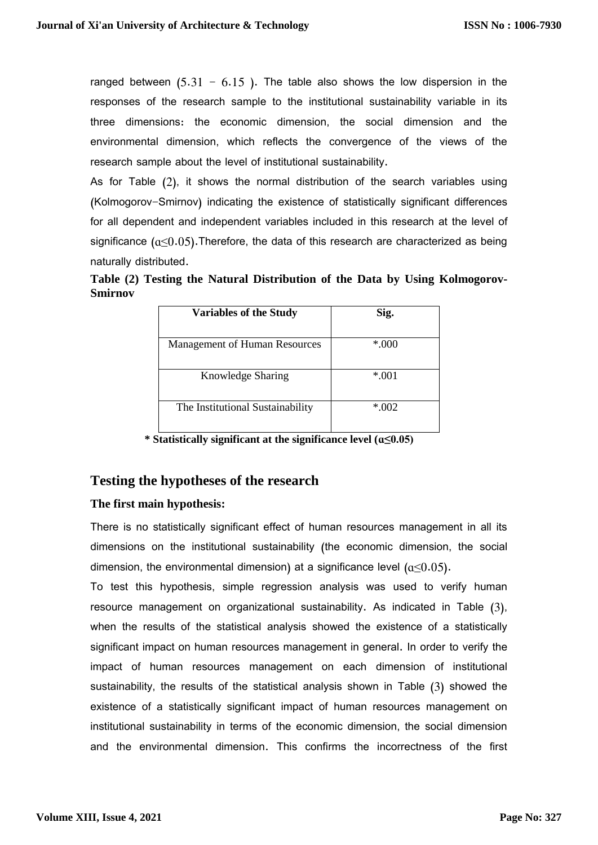ranged between  $(5.31 - 6.15)$ . The table also shows the low dispersion in the responses of the research sample to the institutional sustainability variable in its three dimensions: the economic dimension, the social dimension and the environmental dimension, which reflects the convergence of the views of the research sample about the level of institutional sustainability.

As for Table (2), it shows the normal distribution of the search variables using (Kolmogorov-Smirnov) indicating the existence of statistically significant differences for all dependent and independent variables included in this research at the level of significance  $(a<0.05)$ . Therefore, the data of this research are characterized as being naturally distributed.

**Table (2) Testing the Natural Distribution of the Data by Using Kolmogorov-Smirnov**

| <b>Variables of the Study</b>        | Sig.   |  |  |
|--------------------------------------|--------|--|--|
|                                      |        |  |  |
| <b>Management of Human Resources</b> | $*000$ |  |  |
|                                      |        |  |  |
| Knowledge Sharing                    | $*001$ |  |  |
|                                      |        |  |  |
| The Institutional Sustainability     | $*002$ |  |  |
|                                      |        |  |  |

**\* Statistically significant at the significance level (ɑ≤0.05)**

#### **Testing the hypotheses of the research**

#### **The first main hypothesis:**

There is no statistically significant effect of human resources management in all its dimensions on the institutional sustainability (the economic dimension, the social dimension, the environmental dimension) at a significance level  $(a<0.05)$ .

To test this hypothesis, simple regression analysis was used to verify human resource management on organizational sustainability. As indicated in Table (3), when the results of the statistical analysis showed the existence of a statistically significant impact on human resources management in general. In order to verify the impact of human resources management on each dimension of institutional sustainability, the results of the statistical analysis shown in Table (3) showed the existence of a statistically significant impact of human resources management on institutional sustainability in terms of the economic dimension, the social dimension and the environmental dimension. This confirms the incorrectness of the first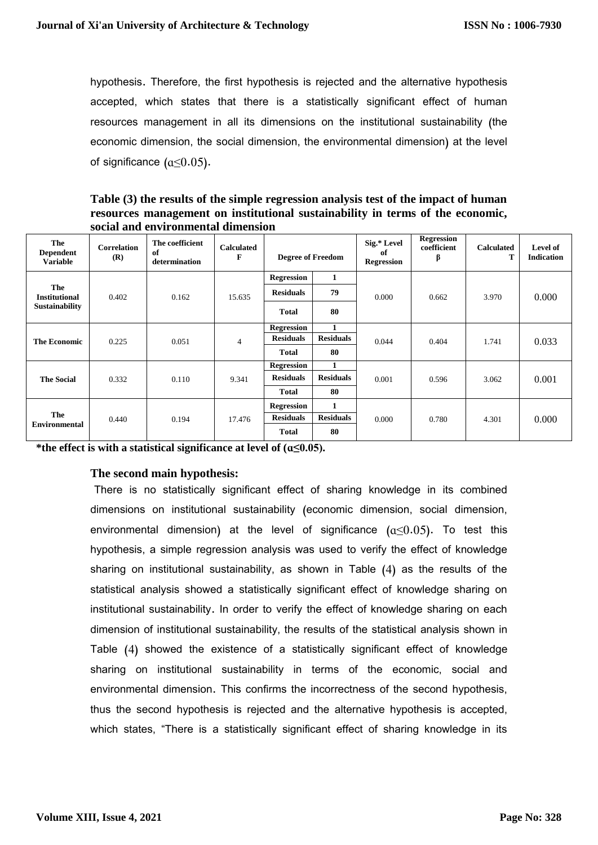hypothesis. Therefore, the first hypothesis is rejected and the alternative hypothesis accepted, which states that there is a statistically significant effect of human resources management in all its dimensions on the institutional sustainability (the economic dimension, the social dimension, the environmental dimension) at the level of significance  $(a<0.05)$ .

**Table (3) the results of the simple regression analysis test of the impact of human resources management on institutional sustainability in terms of the economic, social and environmental dimension**

| The<br><b>Dependent</b><br><b>Variable</b> | Correlation<br>(R) | The coefficient<br>of<br>determination | <b>Calculated</b><br>F | <b>Degree of Freedom</b> |                  | Sig.* Level<br>of<br><b>Regression</b> | <b>Regression</b><br>coefficient<br>β | <b>Calculated</b><br>т | Level of<br><b>Indication</b> |
|--------------------------------------------|--------------------|----------------------------------------|------------------------|--------------------------|------------------|----------------------------------------|---------------------------------------|------------------------|-------------------------------|
|                                            |                    |                                        |                        | <b>Regression</b>        | 1                |                                        |                                       |                        |                               |
| The<br><b>Institutional</b>                | 0.402              | 0.162                                  | 15.635                 | <b>Residuals</b>         | 79               | 0.000                                  | 0.662                                 | 3.970                  | 0.000                         |
| <b>Sustainability</b>                      |                    |                                        |                        | <b>Total</b>             | 80               |                                        |                                       |                        |                               |
|                                            | 0.225              | 0.051                                  | $\overline{4}$         | <b>Regression</b>        | 1                | 0.044                                  | 0.404                                 | 1.741                  | 0.033                         |
| <b>The Economic</b>                        |                    |                                        |                        | <b>Residuals</b>         | <b>Residuals</b> |                                        |                                       |                        |                               |
|                                            |                    |                                        |                        | <b>Total</b>             | 80               |                                        |                                       |                        |                               |
|                                            |                    | 0.110                                  | 9.341                  | <b>Regression</b>        | 1                | 0.001                                  | 0.596                                 | 3.062                  | 0.001                         |
| <b>The Social</b>                          | 0.332              |                                        |                        | <b>Residuals</b>         | <b>Residuals</b> |                                        |                                       |                        |                               |
|                                            |                    |                                        |                        | Total                    | 80               |                                        |                                       |                        |                               |
| The<br><b>Environmental</b>                |                    | 0.194                                  | 17.476                 | <b>Regression</b>        | 1                | 0.000                                  | 0.780                                 | 4.301                  | 0.000                         |
|                                            | 0.440              |                                        |                        | <b>Residuals</b>         | <b>Residuals</b> |                                        |                                       |                        |                               |
|                                            |                    |                                        |                        | <b>Total</b>             | 80               |                                        |                                       |                        |                               |

**\*the effect is with a statistical significance at level of (ɑ≤0.05).**

#### **The second main hypothesis:**

There is no statistically significant effect of sharing knowledge in its combined dimensions on institutional sustainability (economic dimension, social dimension, environmental dimension) at the level of significance  $(a<0.05)$ . To test this hypothesis, a simple regression analysis was used to verify the effect of knowledge sharing on institutional sustainability, as shown in Table (4) as the results of the statistical analysis showed a statistically significant effect of knowledge sharing on institutional sustainability. In order to verify the effect of knowledge sharing on each dimension of institutional sustainability, the results of the statistical analysis shown in Table (4) showed the existence of a statistically significant effect of knowledge sharing on institutional sustainability in terms of the economic, social and environmental dimension. This confirms the incorrectness of the second hypothesis, thus the second hypothesis is rejected and the alternative hypothesis is accepted, which states, "There is a statistically significant effect of sharing knowledge in its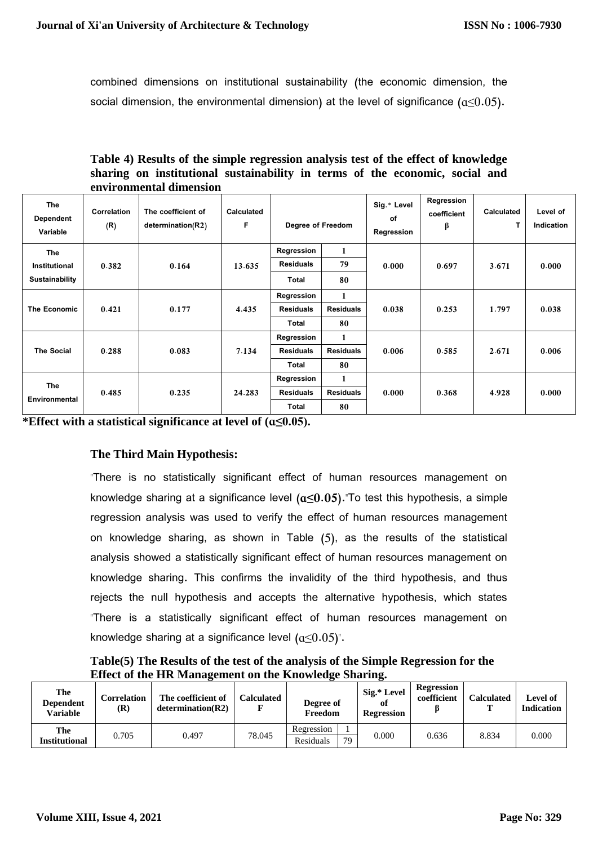combined dimensions on institutional sustainability (the economic dimension, the social dimension, the environmental dimension) at the level of significance  $(a<0.05)$ .

**Table 4) Results of the simple regression analysis test of the effect of knowledge sharing on institutional sustainability in terms of the economic, social and environmental dimension**

| The<br>Dependent<br>Variable           | Correlation<br>(R) | The coefficient of<br>determination(R2) | Calculated<br>F | Degree of Freedom                       |                             | Sig.* Level<br>of<br>Regression | Regression<br>coefficient<br>β | <b>Calculated</b><br>Т | Level of<br>Indication |
|----------------------------------------|--------------------|-----------------------------------------|-----------------|-----------------------------------------|-----------------------------|---------------------------------|--------------------------------|------------------------|------------------------|
| The<br>Institutional<br>Sustainability | 0.382              | 0.164                                   | 13.635          | Regression<br><b>Residuals</b><br>Total | 1<br>79<br>80               | 0.000                           | 0.697                          | 3.671                  | 0.000                  |
| The Economic                           | 0.421              | 0.177                                   | 4.435           | Regression<br><b>Residuals</b><br>Total | 1<br><b>Residuals</b><br>80 | 0.038                           | 0.253                          | 1.797                  | 0.038                  |
| <b>The Social</b>                      | 0.288              | 0.083                                   | 7.134           | Regression<br><b>Residuals</b><br>Total | 1<br><b>Residuals</b><br>80 | 0.006                           | 0.585                          | 2.671                  | 0.006                  |
| The<br>Environmental                   | 0.485              | 0.235                                   | 24.283          | Regression<br><b>Residuals</b><br>Total | 1<br><b>Residuals</b><br>80 | 0.000                           | 0.368                          | 4.928                  | 0.000                  |

**\*Effect with a statistical significance at level of (ɑ≤0.05).**

### **The Third Main Hypothesis:**

"There is no statistically significant effect of human resources management on knowledge sharing at a significance level **(ɑ≤0.05)**."To test this hypothesis, a simple regression analysis was used to verify the effect of human resources management on knowledge sharing, as shown in Table (5), as the results of the statistical analysis showed a statistically significant effect of human resources management on knowledge sharing. This confirms the invalidity of the third hypothesis, and thus rejects the null hypothesis and accepts the alternative hypothesis, which states "There is a statistically significant effect of human resources management on knowledge sharing at a significance level  $(a<0.05)$ ".

**Table(5) The Results of the test of the analysis of the Simple Regression for the Effect of the HR Management on the Knowledge Sharing.**

| The<br><b>Dependent</b><br><b>Variable</b> | Correlation<br>$(\mathbf{R})$ | The coefficient of<br>determination(R2) | <b>Calculated</b> | Degree of<br>Freedom | Sig.* Level<br>Оt<br><b>Regression</b> | <b>Regression</b><br>coefficient | <b>Calculated</b> | Level of<br><b>Indication</b> |
|--------------------------------------------|-------------------------------|-----------------------------------------|-------------------|----------------------|----------------------------------------|----------------------------------|-------------------|-------------------------------|
| The                                        |                               |                                         |                   | Regression           |                                        |                                  |                   |                               |
| <b>Institutional</b>                       | 0.705                         | 0.497                                   | 78.045            | 79<br>Residuals      | 0.000                                  | 0.636                            | 8.834             | 0.000                         |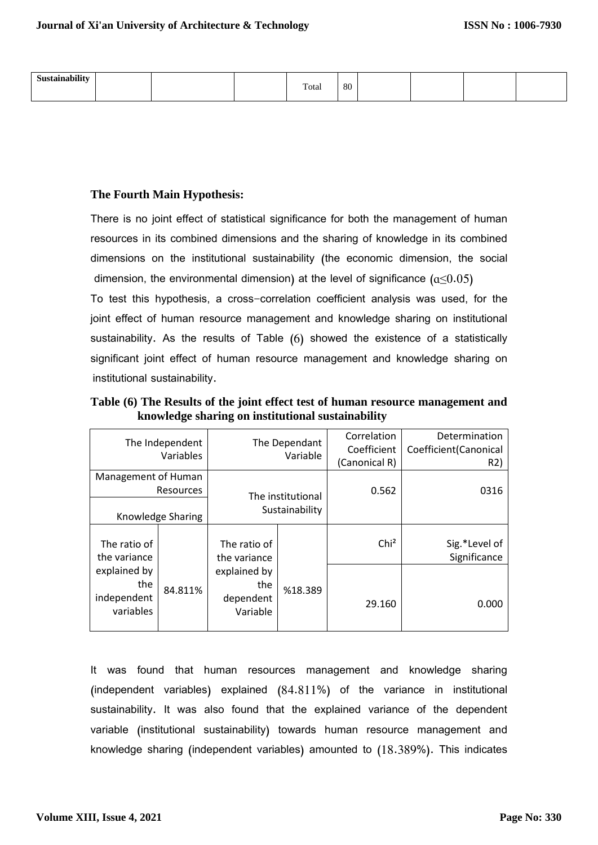| Sustainability |  | Total | 80 |  |  |
|----------------|--|-------|----|--|--|
|                |  |       |    |  |  |

#### **The Fourth Main Hypothesis:**

There is no joint effect of statistical significance for both the management of human resources in its combined dimensions and the sharing of knowledge in its combined dimensions on the institutional sustainability (the economic dimension, the social dimension, the environmental dimension) at the level of significance  $(a<0.05)$ 

To test this hypothesis, a cross-correlation coefficient analysis was used, for the joint effect of human resource management and knowledge sharing on institutional sustainability. As the results of Table (6) showed the existence of a statistically significant joint effect of human resource management and knowledge sharing on institutional sustainability.

|                     | The Independent |                                     |          | Correlation      | Determination          |
|---------------------|-----------------|-------------------------------------|----------|------------------|------------------------|
|                     | Variables       | The Dependant                       |          | Coefficient      | Coefficient (Canonical |
|                     |                 |                                     | Variable | (Canonical R)    | R2)                    |
| Management of Human |                 |                                     |          |                  |                        |
| Resources           |                 |                                     |          | 0.562            | 0316                   |
| Knowledge Sharing   |                 | The institutional<br>Sustainability |          |                  |                        |
|                     |                 |                                     |          |                  |                        |
|                     |                 |                                     |          |                  |                        |
| The ratio of        |                 | The ratio of                        |          | Chi <sup>2</sup> | Sig.*Level of          |
| the variance        |                 | the variance                        |          |                  | Significance           |
| explained by        |                 | explained by                        |          |                  |                        |
| the                 | 84.811%         | the                                 | %18.389  |                  |                        |
| independent         |                 | dependent                           |          | 29.160           | 0.000                  |
| variables           |                 | Variable                            |          |                  |                        |
|                     |                 |                                     |          |                  |                        |

**Table (6) The Results of the joint effect test of human resource management and knowledge sharing on institutional sustainability** 

It was found that human resources management and knowledge sharing (independent variables) explained (84.811%) of the variance in institutional sustainability. It was also found that the explained variance of the dependent variable (institutional sustainability) towards human resource management and knowledge sharing (independent variables) amounted to (18.389%). This indicates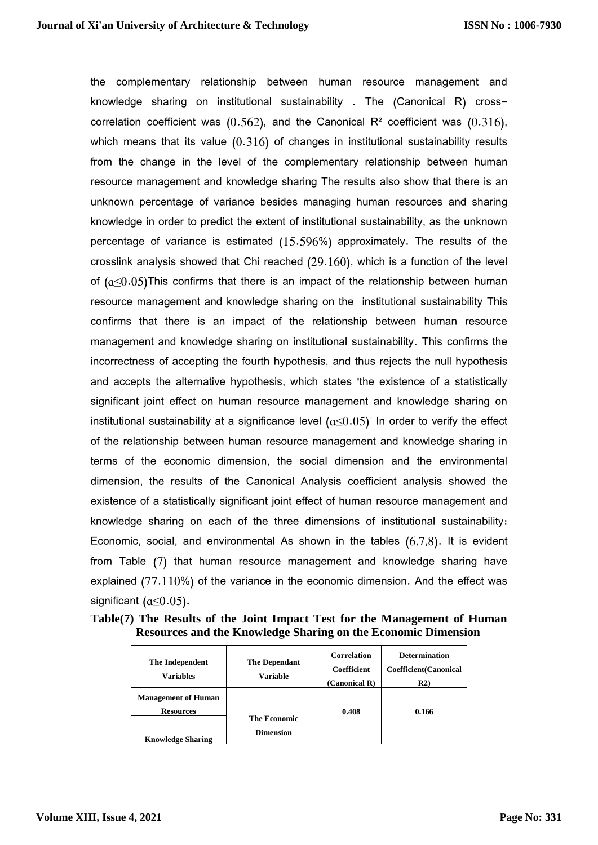the complementary relationship between human resource management and knowledge sharing on institutional sustainability . The (Canonical R) crosscorrelation coefficient was  $(0.562)$ , and the Canonical R<sup>2</sup> coefficient was  $(0.316)$ , which means that its value  $(0.316)$  of changes in institutional sustainability results from the change in the level of the complementary relationship between human resource management and knowledge sharing The results also show that there is an unknown percentage of variance besides managing human resources and sharing knowledge in order to predict the extent of institutional sustainability, as the unknown percentage of variance is estimated (15.596%) approximately. The results of the crosslink analysis showed that Chi reached (29.160), which is a function of the level of  $(a<0.05)$ This confirms that there is an impact of the relationship between human resource management and knowledge sharing on the institutional sustainability This confirms that there is an impact of the relationship between human resource management and knowledge sharing on institutional sustainability. This confirms the incorrectness of accepting the fourth hypothesis, and thus rejects the null hypothesis and accepts the alternative hypothesis, which states "the existence of a statistically significant joint effect on human resource management and knowledge sharing on institutional sustainability at a significance level  $(a\leq 0.05)$ " In order to verify the effect of the relationship between human resource management and knowledge sharing in terms of the economic dimension, the social dimension and the environmental dimension, the results of the Canonical Analysis coefficient analysis showed the existence of a statistically significant joint effect of human resource management and knowledge sharing on each of the three dimensions of institutional sustainability: Economic, social, and environmental As shown in the tables (6,7,8). It is evident from Table (7) that human resource management and knowledge sharing have explained (77.110%) of the variance in the economic dimension. And the effect was significant  $(a\leq 0.05)$ .

|  |  | Table(7) The Results of the Joint Impact Test for the Management of Human |  |
|--|--|---------------------------------------------------------------------------|--|
|  |  | Resources and the Knowledge Sharing on the Economic Dimension             |  |

| The Independent<br><b>Variables</b>                                        | <b>The Dependant</b><br>Variable | <b>Correlation</b><br>Coefficient<br>(Canonical R) | <b>Determination</b><br><b>Coefficient</b> (Canonical<br>R2 |
|----------------------------------------------------------------------------|----------------------------------|----------------------------------------------------|-------------------------------------------------------------|
| <b>Management of Human</b><br><b>Resources</b><br><b>Knowledge Sharing</b> | The Economic<br><b>Dimension</b> | 0.408                                              | 0.166                                                       |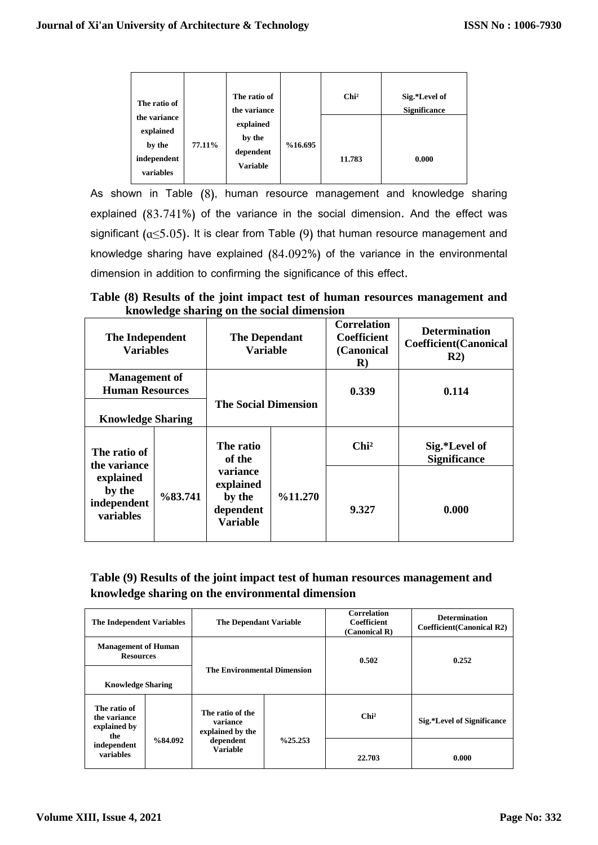| The ratio of                                                    |        | The ratio of<br>the variance                        |         | Chi <sup>2</sup> | Sig.*Level of<br><b>Significance</b> |
|-----------------------------------------------------------------|--------|-----------------------------------------------------|---------|------------------|--------------------------------------|
| the variance<br>explained<br>by the<br>independent<br>variables | 77.11% | explained<br>by the<br>dependent<br><b>Variable</b> | %16.695 | 11.783           | 0.000                                |

As shown in Table (8), human resource management and knowledge sharing explained (83.741%) of the variance in the social dimension. And the effect was significant ( $a \le 5.05$ ). It is clear from Table (9) that human resource management and knowledge sharing have explained (84.092%) of the variance in the environmental dimension in addition to confirming the significance of this effect.

**Table (8) Results of the joint impact test of human resources management and knowledge sharing on the social dimension** 

| The Independent<br><b>Variables</b>                                             |                     | <b>The Dependant</b><br>Variable                                                              |                    | <b>Correlation</b><br><b>Coefficient</b><br>(Canonical<br>$\bf R)$ | <b>Determination</b><br><b>Coefficient</b> (Canonical<br>R2) |
|---------------------------------------------------------------------------------|---------------------|-----------------------------------------------------------------------------------------------|--------------------|--------------------------------------------------------------------|--------------------------------------------------------------|
| <b>Management of</b><br><b>Human Resources</b>                                  |                     | <b>The Social Dimension</b>                                                                   |                    | 0.339                                                              | 0.114                                                        |
| <b>Knowledge Sharing</b>                                                        |                     |                                                                                               |                    |                                                                    |                                                              |
| The ratio of<br>the variance<br>explained<br>by the<br>independent<br>variables | $\frac{683.741}{6}$ | The ratio<br>of the<br><b>variance</b><br>explained<br>by the<br>dependent<br><b>Variable</b> | $\frac{6}{11.270}$ | Chi <sup>2</sup>                                                   | Sig.*Level of<br><b>Significance</b>                         |
|                                                                                 |                     |                                                                                               |                    | 9.327                                                              | 0.000                                                        |

### **Table (9) Results of the joint impact test of human resources management and knowledge sharing on the environmental dimension**

| <b>The Independent Variables</b>                                                |         | <b>The Dependant Variable</b>                                                    |                      | <b>Correlation</b><br><b>Coefficient</b><br>(Canonical R) | <b>Determination</b><br><b>Coefficient</b> (Canonical R2) |
|---------------------------------------------------------------------------------|---------|----------------------------------------------------------------------------------|----------------------|-----------------------------------------------------------|-----------------------------------------------------------|
| <b>Management of Human</b><br><b>Resources</b>                                  |         | <b>The Environmental Dimension</b>                                               |                      | 0.502                                                     | 0.252                                                     |
| <b>Knowledge Sharing</b>                                                        |         |                                                                                  |                      |                                                           |                                                           |
| The ratio of<br>the variance<br>explained by<br>the<br>independent<br>variables | %84.092 | The ratio of the<br>variance<br>explained by the<br>dependent<br><b>Variable</b> | $\frac{9}{6}$ 25.253 | Chi <sup>2</sup>                                          | Sig.*Level of Significance                                |
|                                                                                 |         |                                                                                  |                      | 22.703                                                    | 0.000                                                     |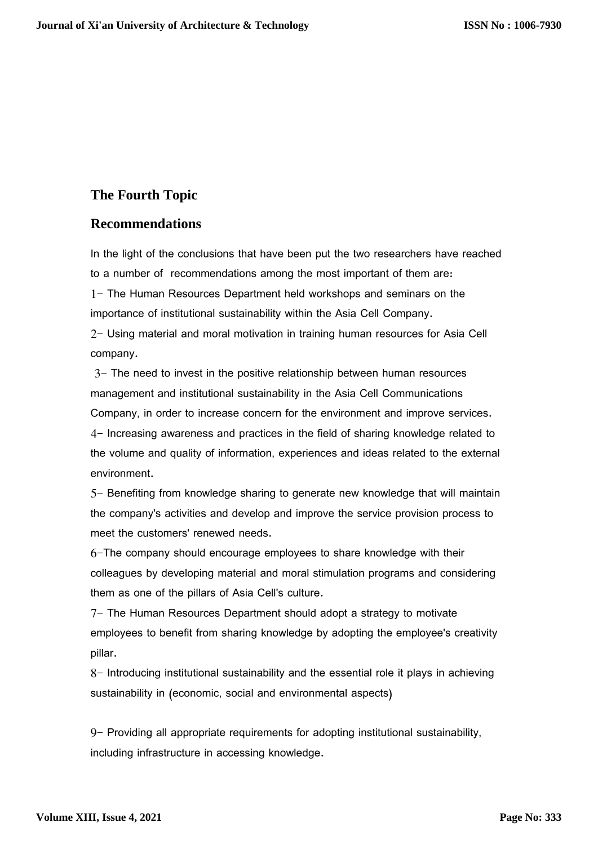# **The Fourth Topic**

### **Recommendations**

In the light of the conclusions that have been put the two researchers have reached to a number of recommendations among the most important of them are: 1- The Human Resources Department held workshops and seminars on the importance of institutional sustainability within the Asia Cell Company.

2- Using material and moral motivation in training human resources for Asia Cell company.

3- The need to invest in the positive relationship between human resources management and institutional sustainability in the Asia Cell Communications Company, in order to increase concern for the environment and improve services. 4- Increasing awareness and practices in the field of sharing knowledge related to the volume and quality of information, experiences and ideas related to the external environment.

5- Benefiting from knowledge sharing to generate new knowledge that will maintain the company's activities and develop and improve the service provision process to meet the customers' renewed needs.

6-The company should encourage employees to share knowledge with their colleagues by developing material and moral stimulation programs and considering them as one of the pillars of Asia Cell's culture.

7- The Human Resources Department should adopt a strategy to motivate employees to benefit from sharing knowledge by adopting the employee's creativity pillar.

8- Introducing institutional sustainability and the essential role it plays in achieving sustainability in (economic, social and environmental aspects)

9- Providing all appropriate requirements for adopting institutional sustainability, including infrastructure in accessing knowledge.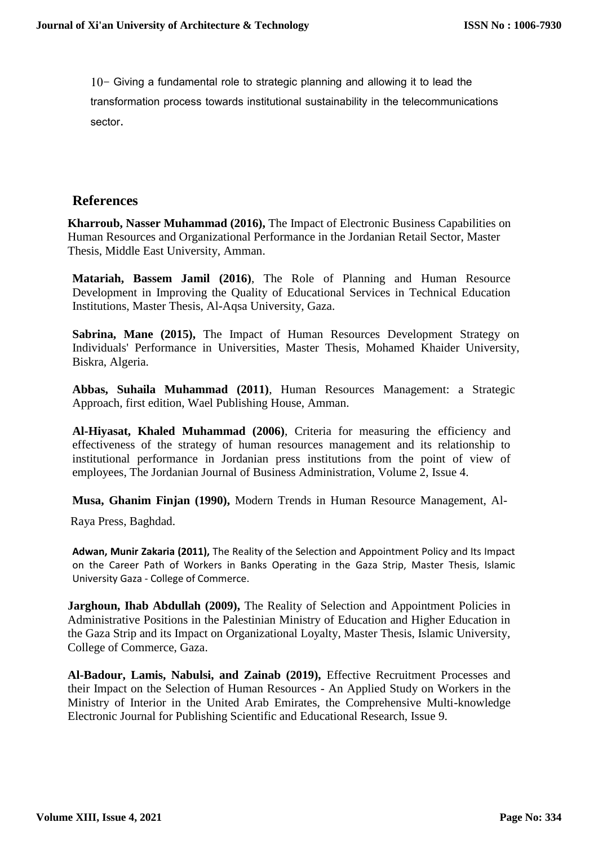10- Giving a fundamental role to strategic planning and allowing it to lead the transformation process towards institutional sustainability in the telecommunications sector.

## **References**

**Kharroub, Nasser Muhammad (2016),** The Impact of Electronic Business Capabilities on Human Resources and Organizational Performance in the Jordanian Retail Sector, Master Thesis, Middle East University, Amman.

**Matariah, Bassem Jamil (2016)**, The Role of Planning and Human Resource Development in Improving the Quality of Educational Services in Technical Education Institutions, Master Thesis, Al-Aqsa University, Gaza.

**Sabrina, Mane (2015),** The Impact of Human Resources Development Strategy on Individuals' Performance in Universities, Master Thesis, Mohamed Khaider University, Biskra, Algeria.

**Abbas, Suhaila Muhammad (2011)**, Human Resources Management: a Strategic Approach, first edition, Wael Publishing House, Amman.

**Al-Hiyasat, Khaled Muhammad (2006)**, Criteria for measuring the efficiency and effectiveness of the strategy of human resources management and its relationship to institutional performance in Jordanian press institutions from the point of view of employees, The Jordanian Journal of Business Administration, Volume 2, Issue 4.

**Musa, Ghanim Finjan (1990),** Modern Trends in Human Resource Management, Al-

Raya Press, Baghdad.

**Adwan, Munir Zakaria (2011),** The Reality of the Selection and Appointment Policy and Its Impact on the Career Path of Workers in Banks Operating in the Gaza Strip, Master Thesis, Islamic University Gaza - College of Commerce.

**Jarghoun, Ihab Abdullah (2009), The Reality of Selection and Appointment Policies in** Administrative Positions in the Palestinian Ministry of Education and Higher Education in the Gaza Strip and its Impact on Organizational Loyalty, Master Thesis, Islamic University, College of Commerce, Gaza.

**Al-Badour, Lamis, Nabulsi, and Zainab (2019),** Effective Recruitment Processes and their Impact on the Selection of Human Resources - An Applied Study on Workers in the Ministry of Interior in the United Arab Emirates, the Comprehensive Multi-knowledge Electronic Journal for Publishing Scientific and Educational Research, Issue 9.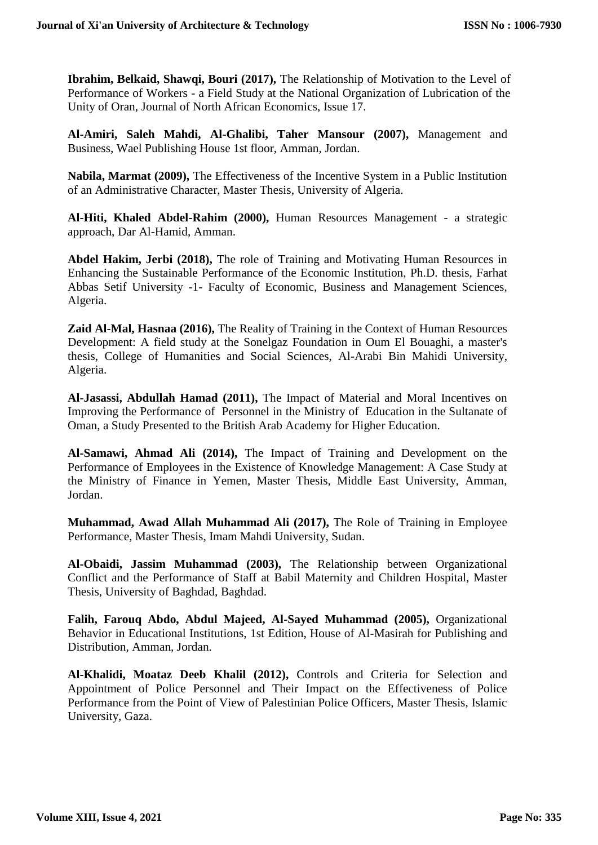**Ibrahim, Belkaid, Shawqi, Bouri (2017),** The Relationship of Motivation to the Level of Performance of Workers - a Field Study at the National Organization of Lubrication of the Unity of Oran, Journal of North African Economics, Issue 17.

**Al-Amiri, Saleh Mahdi, Al-Ghalibi, Taher Mansour (2007),** Management and Business, Wael Publishing House 1st floor, Amman, Jordan.

**Nabila, Marmat (2009),** The Effectiveness of the Incentive System in a Public Institution of an Administrative Character, Master Thesis, University of Algeria.

**Al-Hiti, Khaled Abdel-Rahim (2000),** Human Resources Management - a strategic approach, Dar Al-Hamid, Amman.

**Abdel Hakim, Jerbi (2018),** The role of Training and Motivating Human Resources in Enhancing the Sustainable Performance of the Economic Institution, Ph.D. thesis, Farhat Abbas Setif University -1- Faculty of Economic, Business and Management Sciences, Algeria.

**Zaid Al-Mal, Hasnaa (2016),** The Reality of Training in the Context of Human Resources Development: A field study at the Sonelgaz Foundation in Oum El Bouaghi, a master's thesis, College of Humanities and Social Sciences, Al-Arabi Bin Mahidi University, Algeria.

**Al-Jasassi, Abdullah Hamad (2011),** The Impact of Material and Moral Incentives on Improving the Performance of Personnel in the Ministry of Education in the Sultanate of Oman, a Study Presented to the British Arab Academy for Higher Education.

**Al-Samawi, Ahmad Ali (2014),** The Impact of Training and Development on the Performance of Employees in the Existence of Knowledge Management: A Case Study at the Ministry of Finance in Yemen, Master Thesis, Middle East University, Amman, Jordan.

**Muhammad, Awad Allah Muhammad Ali (2017),** The Role of Training in Employee Performance, Master Thesis, Imam Mahdi University, Sudan.

**Al-Obaidi, Jassim Muhammad (2003),** The Relationship between Organizational Conflict and the Performance of Staff at Babil Maternity and Children Hospital, Master Thesis, University of Baghdad, Baghdad.

**Falih, Farouq Abdo, Abdul Majeed, Al-Sayed Muhammad (2005),** Organizational Behavior in Educational Institutions, 1st Edition, House of Al-Masirah for Publishing and Distribution, Amman, Jordan.

**Al-Khalidi, Moataz Deeb Khalil (2012),** Controls and Criteria for Selection and Appointment of Police Personnel and Their Impact on the Effectiveness of Police Performance from the Point of View of Palestinian Police Officers, Master Thesis, Islamic University, Gaza.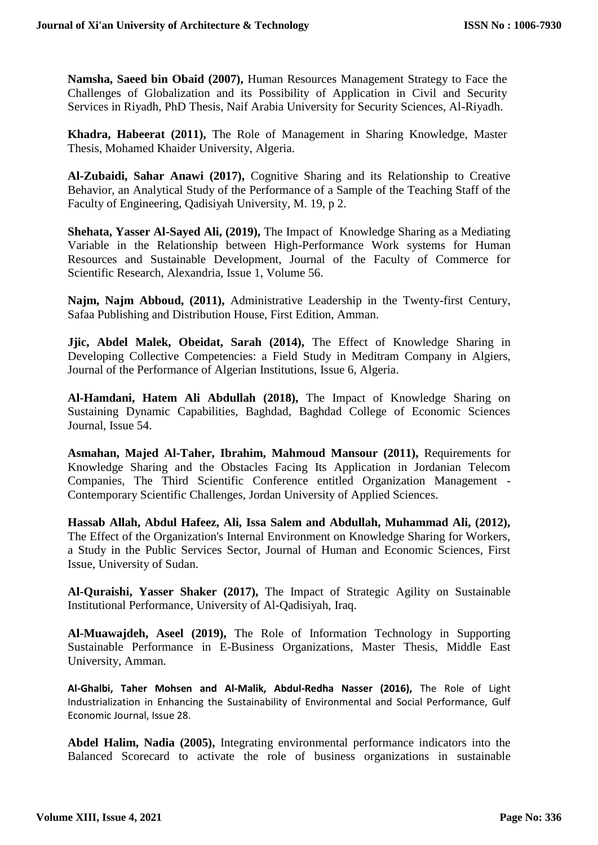**Namsha, Saeed bin Obaid (2007),** Human Resources Management Strategy to Face the Challenges of Globalization and its Possibility of Application in Civil and Security Services in Riyadh, PhD Thesis, Naif Arabia University for Security Sciences, Al-Riyadh.

**Khadra, Habeerat (2011),** The Role of Management in Sharing Knowledge, Master Thesis, Mohamed Khaider University, Algeria.

**Al-Zubaidi, Sahar Anawi (2017),** Cognitive Sharing and its Relationship to Creative Behavior, an Analytical Study of the Performance of a Sample of the Teaching Staff of the Faculty of Engineering, Qadisiyah University, M. 19, p 2.

**Shehata, Yasser Al-Sayed Ali, (2019),** The Impact of Knowledge Sharing as a Mediating Variable in the Relationship between High-Performance Work systems for Human Resources and Sustainable Development, Journal of the Faculty of Commerce for Scientific Research, Alexandria, Issue 1, Volume 56.

**Najm, Najm Abboud, (2011),** Administrative Leadership in the Twenty-first Century, Safaa Publishing and Distribution House, First Edition, Amman.

**Jjic, Abdel Malek, Obeidat, Sarah (2014),** The Effect of Knowledge Sharing in Developing Collective Competencies: a Field Study in Meditram Company in Algiers, Journal of the Performance of Algerian Institutions, Issue 6, Algeria.

**Al-Hamdani, Hatem Ali Abdullah (2018),** The Impact of Knowledge Sharing on Sustaining Dynamic Capabilities, Baghdad, Baghdad College of Economic Sciences Journal, Issue 54.

**Asmahan, Majed Al-Taher, Ibrahim, Mahmoud Mansour (2011),** Requirements for Knowledge Sharing and the Obstacles Facing Its Application in Jordanian Telecom Companies, The Third Scientific Conference entitled Organization Management - Contemporary Scientific Challenges, Jordan University of Applied Sciences.

**Hassab Allah, Abdul Hafeez, Ali, Issa Salem and Abdullah, Muhammad Ali, (2012),** The Effect of the Organization's Internal Environment on Knowledge Sharing for Workers, a Study in the Public Services Sector, Journal of Human and Economic Sciences, First Issue, University of Sudan.

**Al-Quraishi, Yasser Shaker (2017),** The Impact of Strategic Agility on Sustainable Institutional Performance, University of Al-Qadisiyah, Iraq.

**Al-Muawajdeh, Aseel (2019),** The Role of Information Technology in Supporting Sustainable Performance in E-Business Organizations, Master Thesis, Middle East University, Amman.

**Al-Ghalbi, Taher Mohsen and Al-Malik, Abdul-Redha Nasser (2016),** The Role of Light Industrialization in Enhancing the Sustainability of Environmental and Social Performance, Gulf Economic Journal, Issue 28.

**Abdel Halim, Nadia (2005),** Integrating environmental performance indicators into the Balanced Scorecard to activate the role of business organizations in sustainable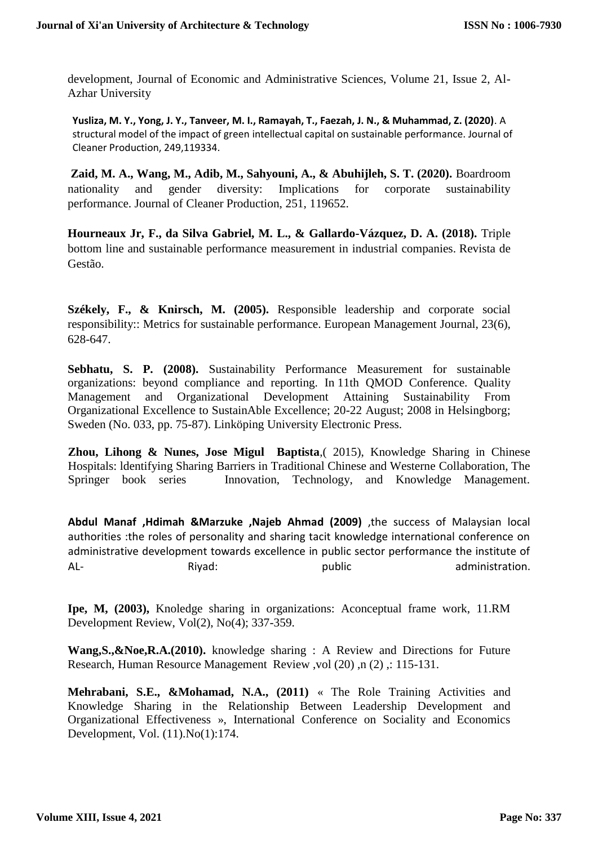development, Journal of Economic and Administrative Sciences, Volume 21, Issue 2, Al-Azhar University

**Yusliza, M. Y., Yong, J. Y., Tanveer, M. I., Ramayah, T., Faezah, J. N., & Muhammad, Z. (2020)**. A structural model of the impact of green intellectual capital on sustainable performance. Journal of Cleaner Production, 249,119334.

**Zaid, M. A., Wang, M., Adib, M., Sahyouni, A., & Abuhijleh, S. T. (2020).** Boardroom nationality and gender diversity: Implications for corporate sustainability performance. Journal of Cleaner Production, 251, 119652.

**Hourneaux Jr, F., da Silva Gabriel, M. L., & Gallardo-Vázquez, D. A. (2018).** Triple bottom line and sustainable performance measurement in industrial companies. Revista de Gestão.

**Székely, F., & Knirsch, M. (2005).** Responsible leadership and corporate social responsibility:: Metrics for sustainable performance. European Management Journal, 23(6), 628-647.

**Sebhatu, S. P. (2008).** Sustainability Performance Measurement for sustainable organizations: beyond compliance and reporting. In 11th QMOD Conference. Quality Management and Organizational Development Attaining Sustainability From Organizational Excellence to SustainAble Excellence; 20-22 August; 2008 in Helsingborg; Sweden (No. 033, pp. 75-87). Linköping University Electronic Press.

**Zhou, Lihong & Nunes, Jose Migul Baptista**,( 2015), Knowledge Sharing in Chinese Hospitals: ldentifying Sharing Barriers in Traditional Chinese and Westerne Collaboration, The Springer book series Innovation, Technology, and Knowledge Management.

**Abdul Manaf ,Hdimah &Marzuke ,Najeb Ahmad (2009)** ,the success of Malaysian local authorities :the roles of personality and sharing tacit knowledge international conference on administrative development towards excellence in public sector performance the institute of AL- Rivad: public administration.

**Ipe, M, (2003),** Knoledge sharing in organizations: Aconceptual frame work, 11.RM Development Review, Vol(2), No(4); 337-359.

**Wang,S.,&Noe,R.A.(2010).** knowledge sharing : A Review and Directions for Future Research, Human Resource Management Review ,vol (20), n (2) ,: 115-131.

**Mehrabani, S.E., &Mohamad, N.A., (2011)** « The Role Training Activities and Knowledge Sharing in the Relationship Between Leadership Development and Organizational Effectiveness », International Conference on Sociality and Economics Development, Vol. (11).No(1):174.